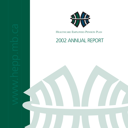

HEALTHCARE EMPLOYEES PENSION PLAN

# 2002 ANNUAL REPORT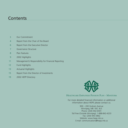# **Contents**

- 3 Our Commitment
- 4 Report from the Chair of the Board
- 6 Report from the Executive Director
- 7 Governance Structure
- 8 Plan Features
- 9 2002 Highlights
- 11 Management's Responsibility for Financial Reporting
- 12 Fund Highlights
- 13 Actuarial Highlights
- 15 Report from the Director of Investments
- 19 2002 HEPP Directory



HEALTHCARE EMPLOYEES PENSION PLAN - MANITOBA

For more detailed financial information or additional information about HEPP, please contact us.

900 – 200 Graham Avenue Winnipeg, MB R3C 4L5 Phone: (204) 942-6591 Toll Free (Outside Winnipeg): 1-888-842-4233 Fax: (204) 943-3862 Website: www.hepp.mb.ca E-mail: communications@hepp.mb.ca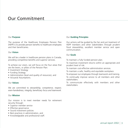# Our Commitment

### Our **Purpose**

The purpose of the Healthcare Employees Pension Plan (HEPP) is to provide pension benefits to healthcare employees and their beneficiaries.

### Our **Vision**

We will be a leader in healthcare pension plans in Canada, providing competitive benefits and superior services.

To achieve our vision, we will focus on the four areas that are the levers, or pillars of the Pension Plan:

- Investment Strategy
- Funding Strategy
- Administration (level and quality of resources), and
- Actuarial Assumptions.

### Our **Values**

We are committed to *stewardship, competence, respect, even-handedness, integrity, beneficiary focus and teamwork.* 

### Our **Mission**

Our mission is to meet member needs for retirement security through:

- Superior member service
- Effective governance
- Sound investment policies
- Best practices in administration, and
- Knowledgeable and professional staff.

### Our **Guiding Principles**

Our actions will be guided by the fair and just treatment of HEPP members and other stakeholders through prudent fiscal stewardship, excellent member service and open communication.

### Our **Goals**

To maintain a fully funded pension plan.

To maximize investment returns within an appropriate and prudent level of risk.

- To maintain cost-effective administration services.
- To maintain a safe, healthy and equitable workplace.
- To empower our employees through teamwork and training.

To continually improve service to all members and other stakeholders.

To communicate effectively with members and other stakeholders.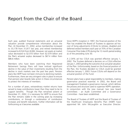## Report from the Chair of the Board

Each year, audited financial statements and an actuarial valuation provide comprehensive information about the Plan. At December 31, 2002, active membership increased to 33,178 from 31,817 last year, and retired membership increased to 8,524 from 8,006. However, net assets at market value decreased to \$2.010 billion from \$2.079 billion and the Plan's actuarial surplus decreased to \$67.4 million from \$86.6 million.

Members who have been watching their Registered Retirement Savings Plans will have noticed significant decline in the value of their investments resulting from the decline in stock markets over the past few years. Pension plans like HEPP have not been immune to declining markets. Furthermore, there are very stringent rules in place to ensure that pension plan boards take action in these circumstances to protect the interests of members.

For a number of years, extraordinary market returns have served to keep contributions lower than they need to be to support benefits. Though the Plan remained solvent at December 31, 2002, it is necessary for HEPP to ensure that the Plan remains viable in the coming years by increasing contributions, or through a combination of contribution increases and benefit reductions. Further information will be forthcoming as it becomes available.

Since HEPP's inception in 1997, the financial position of the Plan has enabled the Board of Trustees to approve ad hoc cost of living adjustments (COLAs) to retirees, disabled and deferred vested members each year at 70% of the Canadian Consumer Price Index (CPI) during the 12 month period ending as of the preceding June 30.

A 2.34% ad hoc COLA was granted effective January 1, 2002. The Trustees deferred a decision on a COLA effective January 1, 2003 pending the outcome of an actuarial valuation of the Plan. Unfortunately, based on the financial position of the Plan, the Trustees decided no COLA could be granted effective January 1, 2003. Future COLAs will depend on the actuarial position of the Fund.

Pension plans have a great responsibility to members, making governance practices essential. In 2002, the Board and management finalized a governance manual, which defines the process and structure used to supervise HEPP's operation. In conjunction with the new manual, two new board committees - an Audit Committee and a Governance Committee - have been established.

The Board of Trustees of HEPP and the Board of Trustees of the Healthcare Employees Benefits Plan (HEBP) have appointed Mr. John McLaughlin as Executive Director.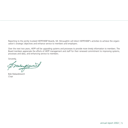Reporting to the jointly trusteed HEPP/HEBP Boards, Mr. McLaughlin will direct HEPP/HEBP's activities to achieve the organization's strategic objectives and enhance service to members and employers.

Over the next two years, HEPP will be upgrading systems and processes to provide more timely information to members. The Board members appreciate the efforts of HEPP management and staff for their renewed commitment to improving systems, processes and data, and enhancing service to members.

Sincerely,

meagerment

Bob Malazdrewich Chair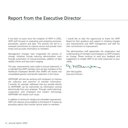# Report from the Executive Director

It has been six years since the inception of HEPP. In 2002, HEPP staff focused on evaluating and analyzing processes, procedures, systems and data. This process has led to a renewed commitment to improve service and provide more timely and accurate information to members.

Management changes have invigorated the process of change. Initiatives include reducing administration costs through automation of manual processes, addition of data validity checks and document imaging.

This year, improvements were made to annual statements. It is intended that HEPP members who are also members of the Healthcare Employees Benefits Plan (HEBP) will receive one consolidated pension and benefit statement in the future.

HEPP/HEBP will also be working with employers to improve the collection and retention of member information. Currently, for example, addresses that you provide directly to HEPP/HEBP can be overwritten by information coming electronically from your employer. Through careful planning, cooperation with employers and modern technology, HEPP/HEBP will resolve such issues.

In addition to striving for steady and noticeable improvement, HEPP will improve accountability to the Board of Trustees by providing reports that monitor service levels to members.

I would like to take this opportunity to thank the HEPP Board for their guidance and support in initiating changes and improvements and HEPP management and staff for their commitment to improvement.

The administrative staff appreciates the cooperation and understanding of members and employers as HEPP embarks on change. Please continue to send your feedback and suggestions to enable HEPP to be more responsive to your needs.

9. McDaugs

John McLaughlin Executive Director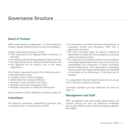### Governance Structure

### **Board of Trustees**

HEPP is governed by an independent, 12 member Board of Trustees, equally representing both unions and employers.

Trustees representing employers include:

- Three appointed by the Regional Health Authorities of Manitoba,
- One appointed by the Winnipeg Regional Health Authority,
- One appointed by the St. Boniface General Hospital, and
- One appointed by the majority vote of the above organizations.

One Trustee is appointed by each of the following unions:

- Manitoba Nurses Union
- Canadian Union of Public Employees
- United Food and Commercial Workers
- Manitoba Council of Health Care Unions
- Manitoba Government Employees Union
- Manitoba Association of Healthcare Professionals

Board members and their affiliations are listed on page 19.

### **Committees**

The following committees, established by the Board, play an important role in the governance of HEPP.

- The Investment Committee implements the Statement of Investment Policies and Procedures (SIPP) that is approved by the Board.
- The Audit Committee assists the Board in fulfilling its responsibility to oversee the financial reporting, accounting system and internal controls.
- The Governance Committee provides recommendations to the Board regarding governance issues such as structure, responsibilities and composition of Board committees and their effectiveness, and is responsible for developing human resource and organizational policies and reporting to the Board on the effectiveness of the Board and its members.

It is a requirement that each Board Trustee serve on at least one of the three standing committees.

Committee members and their affiliations are listed on page 19.

### **Management and Staff**

HEPP management and staff provide administrative and member services for both the Healthcare Employees Pension Plan (HEPP) and the Healthcare Employees Benefits Plan (HEBP).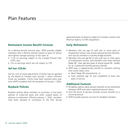### Plan Features

### **Retirement Income Benefit Formula**

As a defined benefit pension plan, HEPP provides eligible members with a lifetime pension based on years of service and highest average earnings at the rates of:

- 1.5% on earnings subject to the Canada Pension Plan (CPP), and
- 2% on earnings which are not subject to CPP.

### **Ad hoc COLAs**

Ad hoc cost of living adjustments (COLAs) may be granted by the Board of Trustees each January 1 when sufficient funds are available. COLAs have been granted every year since HEPP's inception with the exception of January 1, 2003.

### **Buyback Policies**

Buyback policies allow members to purchase, or buy back periods of maternity leave and other unpaid leaves of absence at retirement. Effective January 1, 2002, members have been allowed to contribute to the Plan during

approved leaves of absence subject to Canada Customs and Revenue Agency (CCRA) regulations.

### **Early Retirement**

- Members who are age 55 with two or more years of employment service may receive reduced pension benefits, and may be entitled to monthly bridge benefits.
- Members who are age 60 or over with two or more years of employment service, and members who have reached Magic 80 - their age plus years of service equals 80 - qualify for an unreduced monthly pension benefit.
- HEPP pays a supplementary benefit to members retiring from active status who:
	- ➤ Meet Magic 80 requirements, or
	- ➤ Have attained age 55 and completed at least two years of service.

### **Additional Features**

- Portability options allow pension benefits to be transferred between HEPP and other registered pension plans.
- Joint life forms of pension provide survivor benefits to a surviving spouse.
- HEPP provides pension accrual for disabled members.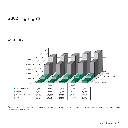# 2002 Highlights

### *Member Mix*



 $^1$  Members who no longer work for a participating employer or contribute to HEPP, but who have left money in the Plan so they can collect a pension at a later date.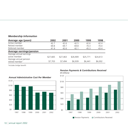### *Membership Information*

| Average age (years)                                   | 2002     | 2001     | 2000     | 1999     | 1998     |
|-------------------------------------------------------|----------|----------|----------|----------|----------|
| Active member                                         | 42.7     | 42.6     | 42.5     | 42.6     | 42.4     |
| Retired member                                        | 69.8     | 69.7     | 69.8     | 70.3     | 70.0     |
| Deferred member                                       | 41.9     | 42.6     | 42.1     | 45.3     | 43.4     |
| <b>Average earnings/pension</b>                       |          |          |          |          |          |
| Average annual earnings                               |          |          |          |          |          |
| active member                                         | \$27,665 | \$27,463 | \$26,909 | \$25,771 | \$24,613 |
| Average annual pension<br>retired member <sup>1</sup> | \$7,703  | \$7,494  | \$6,939  | \$6,441  | \$6,002  |

1 Includes bridge benefit



### *Pension Payments & Contributions Received (\$ millions)*



### 10 | annual report 2002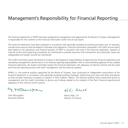# Management's Responsibility for Financial Reporting

The financial statements of HEPP have been prepared by management and approved by the Board of Trustees. Management is responsible for the contents of the financial information within the annual report.

The financial statements have been prepared in accordance with generally accepted accounting principles and, of necessity, include some amounts that are based on estimates and judgments. Financial information presented in the 2002 annual report that relates to the operations and financial position of HEPP is consistent with that in the financial statements. Systems of internal control and supporting procedures are maintained to provide assurance that transactions are authorized, assets are safeguarded and proper records are maintained.

The Audit Committee assists the Board of Trustees in discharging its responsibilities of approving the financial statements and overseeing management's performance of its financial reporting responsibilities. Prior to recommending approval of the audited financial statements, the Audit Committee reviews the financial statements, the adequacy of internal controls and the audit and financial reporting process with both management and the external auditors.

KPMG LLP, the external auditors appointed by the Board of Trustees, have conducted an independent examination of the financial statements in accordance with generally accepted auditing standards, performing such tests and other procedures as they consider necessary to express an opinion in their Auditors' Report. The external auditors have unrestricted access to management and the Audit Committee to discuss any findings related to the integrity of the Plan's financial reporting and adequacy of the internal control systems.

9. McDaugs

John McLaughlin Executive Director

Roh: Salall

Rohini Halli, CA Director of Finance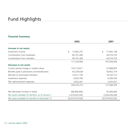# Fund Highlights

### **Financial Summary**

|                                                    | 2002             | 2001             |
|----------------------------------------------------|------------------|------------------|
|                                                    |                  |                  |
| Increase in net assets                             |                  |                  |
| Investment income                                  | \$<br>72,942,372 | \$<br>77,997,138 |
| Contributions from employers                       | 49,191,266       | 44,516,753       |
| Contributions from members                         | 49,191,266       | 44,516,753       |
|                                                    | 171,324,904      | 167,030,644      |
| Decrease in net assets                             |                  |                  |
| Current period change in market values             | 153, 174, 811    | 37,898,855       |
| Benefits paid to pensioners and beneficiaries      | 63,230,628       | 56,852,319       |
| Refunds to terminated members                      | 14,571,730       | 18, 163, 713     |
| Investment expenses                                | 6,603,700        | 6,306,550        |
| Plan administration expenses                       | 2,652,441        | 2,425,541        |
|                                                    | 240,233,310      | 121,646,978      |
| Net (decrease) increase in assets                  | (68,908,406)     | 45,383,666       |
| Net assets available for benefits, as of January 1 | 2,079,422,932    | 2,034,039,266    |
| Net assets available for benefits at December 31   | \$2,010,514,526  | \$2,079,422,932  |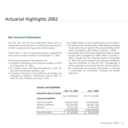### **Key Actuarial Information**

The Plan Text and the Trust Agreement require that an independent actuary perform an annual actuarial valuation on both a going concern basis and a solvency basis.

Towers Perrin, a firm of consulting actuaries, prepared the most recent actuarial valuation as at December 31, 2002.

The principal purposes of the valuation are:

- To present information on the financial condition of HEPP as at December 31, 2002,
- To compare actual and expected experience under the Plan since the previous valuation, and
- To present information on the sufficiency of member and participating employer contributions during 2002 to meet the cost of benefits accruing in 2002.

The notable features of the actuarial opinion are as follows:

- The going concern actuarial surplus, determined by comparing the actuarial value of assets to the actuarial liability, is \$67 million (compared to \$87 million at January 1, 2002).
- The market value of the assets exceeds the solvency liability by \$30 million (compared to \$286 million at January 1, 2002). Though the Plan remained solvent at December 31, 2002, the current employer and employee contribution rates are insufficient to fund the Plan. Consequently, it will be necessary to ensure that the Plan remains viable in the coming years by increasing contributions, or through a combination of contribution increases and benefit reductions.

### *Assets and liabilities*

|                                  | Dec. 31, 2002   | Jan.1, 2002     |
|----------------------------------|-----------------|-----------------|
| <b>Actuarial value of assets</b> |                 |                 |
|                                  | \$2,210,930,000 | \$2,115,124,000 |
| <b>Actuarial liabilities</b>     |                 |                 |
| Active & disabled                | 1.444.447.000   | 1,293,806,000   |
| Retired & deferred               | 675,918,000     | 593,661,000     |
| Reserves                         | 23,141,000      | 141,072,000     |
|                                  | 2,143,506,000   | 2,028,539,000   |
| Actuarial surplus                | 67,424,000      | 86,585,000      |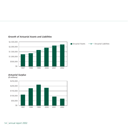

### *Growth of Actuarial Assets and Liabilities*

*Actuarial Surplus*



*(\$ millions)*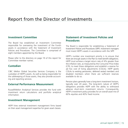# Report from the Director of Investments

### **Investment Committee**

The Board has established an Investment Committee responsible for overseeing the investment of the Fund's assets in accordance with the Statement of Investment Policies and Procedures. The Committee is comprised of eight members appointed by the Board.

Please refer to the directory on page 19 of this report for Committee member names.

### **Custodian**

CIBC Mellon Global Securities Services Company is the custodian of HEPP's assets. As well as being responsible for the safekeeping of those assets, they also provide accounting and reporting services.

### **External Performance Measurement**

Russell/Mellon Analytical Services provides the fund with investment return calculations and portfolio analytical information.

### **Investment Management**

HEPP hires external investment management firms based on their asset management expertise for given asset classes.

### **Statement of Investment Policies and Procedures**

The Board is responsible for establishing a Statement of Investment Policies and Procedures (SIPP). Investment managers must invest HEPP's assets in accordance with the SIPP.

HEPP's number one investment priority is to ensure that there are enough assets in the Plan to meet benefit obligations. HEPP must achieve a target return rate of 4% greater than the inflation rate, as measured by the Consumer Price Index (CPI), to meet these obligations and establish a reserve for ad hoc cost of living adjustments (COLAs). HEPP grants COLAs to existing pensioners, deferred vested members and disabled members when there are sufficient reserves available to do so.

Pension plans generally have a long-term investment horizon, typically over 20 years. The long-term nature of HEPP's obligations provides HEPP with the ability to withstand adverse short-term investment returns. Consequently, HEPP's investment policy provides for an overall asset mix of 60% equities and 40% fixed income.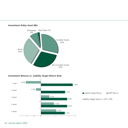

### *Investment Policy Asset Mix*

*Investment Returns vs. Liability Target Return Rate*

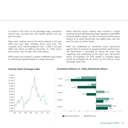As shown in the chart on the preceding page, investment returns have not kept pace with liability growth over the past five years.

Most stock markets around the world peaked in the year 2000 and have been trending down since then. The Canadian stock market peaked at over 11,000 in the year 2000 and closed at 6,600 at December 31, 2002, down almost 45% since its high. (See chart below)

HEPP's assets are invested in a variety of different asset classes to avoid being exposed heavily to a single asset class.

While declining equity markets have resulted in overall investment returns being less than those required to meet HEPP's actuarial liability targets, the Plan's investment performance relative to its policy benchmark has added value over the past five years as shown below.

HEPP has established an investment policy benchmark against which it measures its overall investment performance. The benchmark is calculated by taking the asset class weighting and multiplying by the asset class benchmark return. For example, our 30% weight in Canadian equity would be multiplied by the return on the Toronto Stock Exchange Index (TSX).



### *Toronto Stock Exchange Index Investment Returns vs. Policy Benchmark Return*

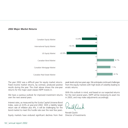### *2002 Major Market Returns*



The year 2002 was a difficult year for equity market returns. Fixed income market returns, by contrast, produced positive results during the year. The chart above shows the one-year returns for the major asset classes HEPP invests in.

We have a cautious outlook for improved investment returns over the next several years.

Interest rates, as measured by the Scotia Capital Universe Bond Index, were at 4.6% at year-end 2002. With a liability target return rate of inflation plus 4%, it will be challenging for the bond market to meet this hurdle rate over the next few years.

Equity markets have endured significant declines from their

peak levels only two years ago. We anticipate continued challenges from the equity markets with high levels of volatility leading to erratic returns.

With this outlook in mind, and based on our expected returns for the next several years, HEPP will be reviewing its asset mix in 2003, and may make adjustments accordingly.

Ronald Queck Director of Investments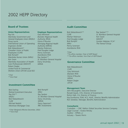# 2002 HEPP Directory

### **Board of Trustees**

#### **Union Representatives**

Ray Erb *Manitoba Government and General Employees Union (MGEU)* Doug Laurie *International Union of Operating Engineers (IUOE)* Bob Malazdrewich\* *Canadian Union of Public Employees (CUPE)* Bob Romphf *Manitoba Nurses Union (MNU)* Ken Swan *Manitoba Association of Health Care Professionals (MAHCP)* Robert Ziegler *United Food & Commercial Workers Union (UFCW) Local 832*

*\*Chair \*\*Vice-Chair* 

### **Investment Committee**

Bob Darling *Retired Investment Executive* Ray Erb\*\* *MGEU* Bob Malazdrewich *CUPE* Michael Nesbitt *Montrose Mortgage Corp.*

Bob Romphf *MNU* Ray Spokes *St. Boniface General Hospital* Darcy Strutinsky *WRHA* Darcy Zaporzan\* *RBC Investments* **Consultants**

**Employer Representatives**

*Brandon Regional Health Authority (RHA)* Gloria O'Rourke

*Winnipeg Regional Health Authority (WRHA)* Marilyn Robinson *Fred Douglas Lodge* Penny Sorensen *Assiniboine RHA* Ray Spokes\*\*

*St. Boniface General Hospital*

Darcy Strutinsky *WRHA*

Gary McIntosh

*\*Chair (Resigned effective December, 2002) \*\*Vice-Chair*

### **Audit Committee**

Bob Malazdrewich\*\* *CUPE* Marilyn Robinson *Fred Douglas Lodge*  Bob Romphf *MNU* Penny Sorensen *Assiniboine RHA*

Ray Spokes\*\*\* *St. Boniface General Hospital* Ken Swan *MAHCP* Gordon Webster, FCA\* *The Faneuil Group*

*\*Chair \*\*Ex-officio member, Chair of HEPP Board*

*\*\*\*Ex-officio member, Vice-Chair of HEPP Board*

### **Governance Committee**

Bob Malazdrewich *CUPE* Gary McIntosh *Brandon RHA* Gloria O'Rourke *WRHA* Robert Ziegler *UFCW*

#### **Management Team**

John McLaughlin, Executive Director Ronald Queck, CFA, Director of Investments Rohini Halli, CA, Director of Finance Kay Dunthorne, FLMI, ACS, ALHC, Director, Benefits Administration Ron Serediuk, Manager, Benefits Administration

Custodian – CIBC Mellon Global Securities Services Company Legal Counsel – Koskie Minsky Auditor – KPMG LLP Actuary – Towers Perrin